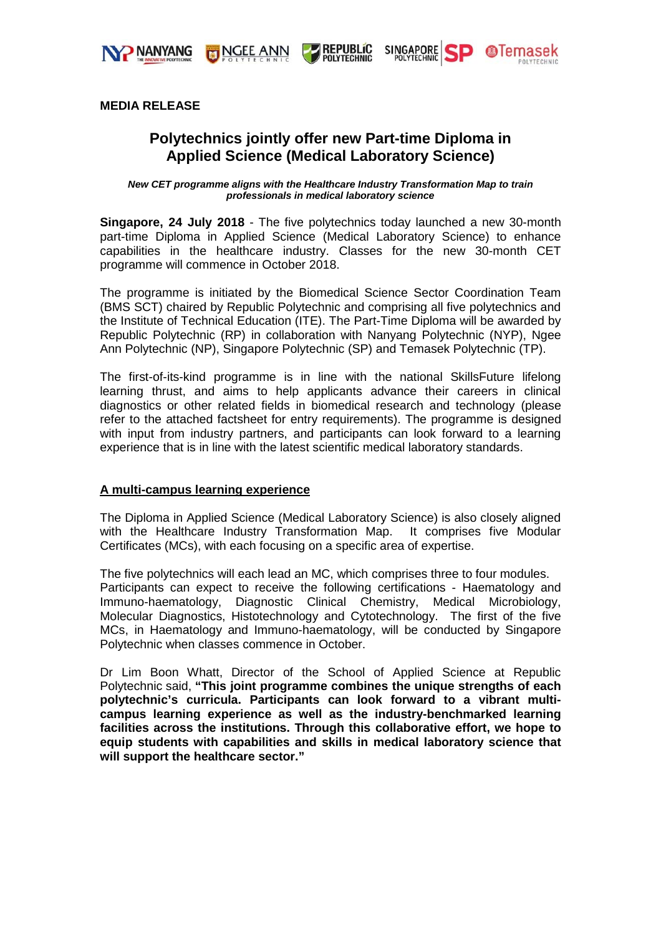



**REPUBLIC**<br>POLYTECHNIC



## **MEDIA RELEASE**

# **Polytechnics jointly offer new Part-time Diploma in Applied Science (Medical Laboratory Science)**

*New CET programme aligns with the Healthcare Industry Transformation Map to train professionals in medical laboratory science*

**Singapore, 24 July 2018** - The five polytechnics today launched a new 30-month part-time Diploma in Applied Science (Medical Laboratory Science) to enhance capabilities in the healthcare industry. Classes for the new 30-month CET programme will commence in October 2018.

The programme is initiated by the Biomedical Science Sector Coordination Team (BMS SCT) chaired by Republic Polytechnic and comprising all five polytechnics and the Institute of Technical Education (ITE). The Part-Time Diploma will be awarded by Republic Polytechnic (RP) in collaboration with Nanyang Polytechnic (NYP), Ngee Ann Polytechnic (NP), Singapore Polytechnic (SP) and Temasek Polytechnic (TP).

The first-of-its-kind programme is in line with the national SkillsFuture lifelong learning thrust, and aims to help applicants advance their careers in clinical diagnostics or other related fields in biomedical research and technology (please refer to the attached factsheet for entry requirements). The programme is designed with input from industry partners, and participants can look forward to a learning experience that is in line with the latest scientific medical laboratory standards.

## **A multi-campus learning experience**

The Diploma in Applied Science (Medical Laboratory Science) is also closely aligned with the Healthcare Industry Transformation Map. It comprises five Modular Certificates (MCs), with each focusing on a specific area of expertise.

The five polytechnics will each lead an MC, which comprises three to four modules. Participants can expect to receive the following certifications - Haematology and Immuno-haematology, Diagnostic Clinical Chemistry, Medical Microbiology, Molecular Diagnostics, Histotechnology and Cytotechnology. The first of the five MCs, in Haematology and Immuno-haematology, will be conducted by Singapore Polytechnic when classes commence in October.

Dr Lim Boon Whatt, Director of the School of Applied Science at Republic Polytechnic said, **"This joint programme combines the unique strengths of each polytechnic's curricula. Participants can look forward to a vibrant multicampus learning experience as well as the industry-benchmarked learning facilities across the institutions. Through this collaborative effort, we hope to equip students with capabilities and skills in medical laboratory science that will support the healthcare sector."**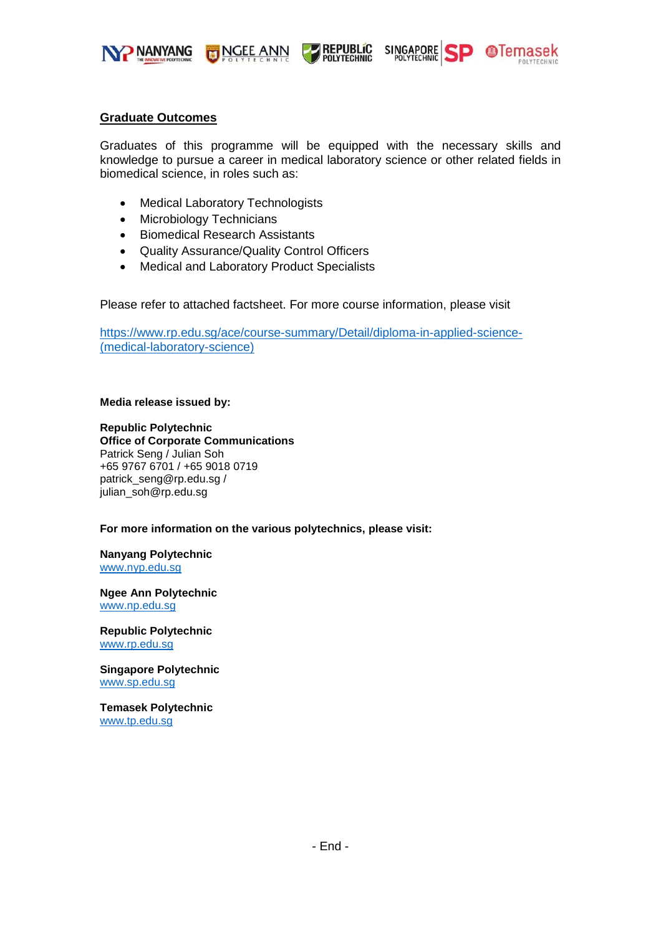

**Graduate Outcomes**

Graduates of this programme will be equipped with the necessary skills and knowledge to pursue a career in medical laboratory science or other related fields in biomedical science, in roles such as:

**PREPUBLIC**<br>POLYTECHNIC

SINGAPORE SP OTemasek

- Medical Laboratory Technologists
- Microbiology Technicians
- Biomedical Research Assistants
- Quality Assurance/Quality Control Officers

NGEE ANN

• Medical and Laboratory Product Specialists

Please refer to attached factsheet. For more course information, please visit

[https://www.rp.edu.sg/ace/course-summary/Detail/diploma-in-applied-science-](https://www.rp.edu.sg/ace/course-summary/Detail/diploma-in-applied-science-(medical-laboratory-science)) [\(medical-laboratory-science\)](https://www.rp.edu.sg/ace/course-summary/Detail/diploma-in-applied-science-(medical-laboratory-science))

#### **Media release issued by:**

**Republic Polytechnic Office of Corporate Communications**  Patrick Seng / Julian Soh +65 9767 6701 / +65 9018 0719 patrick\_seng@rp.edu.sg / julian\_soh@rp.edu.sg

#### **For more information on the various polytechnics, please visit:**

**Nanyang Polytechnic** [www.nyp.edu.sg](http://www.nyp.edu.sg/)

**Ngee Ann Polytechnic** [www.np.edu.sg](http://www.np.edu.sg/)

**Republic Polytechnic** [www.rp.edu.sg](http://www.rp.edu.sg/)

**Singapore Polytechnic** [www.sp.edu.sg](http://www.sp.edu.sg/)

**Temasek Polytechnic** [www.tp.edu.sg](http://www.tp.edu.sg/)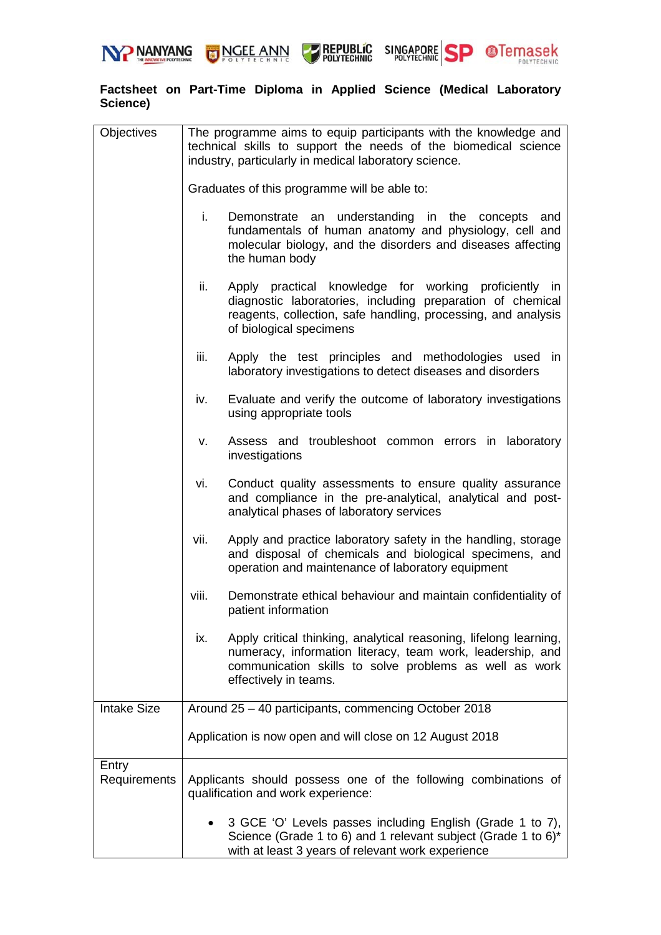



SINGAPORE SP **OTemasek REPUBLIC**<br>POLYTECHNIC



| <b>Objectives</b>     | The programme aims to equip participants with the knowledge and<br>technical skills to support the needs of the biomedical science<br>industry, particularly in medical laboratory science.                               |
|-----------------------|---------------------------------------------------------------------------------------------------------------------------------------------------------------------------------------------------------------------------|
|                       | Graduates of this programme will be able to:                                                                                                                                                                              |
|                       | i.<br>Demonstrate an understanding in the concepts<br>and<br>fundamentals of human anatomy and physiology, cell and<br>molecular biology, and the disorders and diseases affecting<br>the human body                      |
|                       | ii.<br>Apply practical knowledge for working proficiently in<br>diagnostic laboratories, including preparation of chemical<br>reagents, collection, safe handling, processing, and analysis<br>of biological specimens    |
|                       | iii.<br>Apply the test principles and methodologies used<br>in<br>laboratory investigations to detect diseases and disorders                                                                                              |
|                       | Evaluate and verify the outcome of laboratory investigations<br>iv.<br>using appropriate tools                                                                                                                            |
|                       | Assess and troubleshoot common errors in laboratory<br>v.<br>investigations                                                                                                                                               |
|                       | vi.<br>Conduct quality assessments to ensure quality assurance<br>and compliance in the pre-analytical, analytical and post-<br>analytical phases of laboratory services                                                  |
|                       | Apply and practice laboratory safety in the handling, storage<br>vii.<br>and disposal of chemicals and biological specimens, and<br>operation and maintenance of laboratory equipment                                     |
|                       | viii.<br>Demonstrate ethical behaviour and maintain confidentiality of<br>patient information                                                                                                                             |
|                       | Apply critical thinking, analytical reasoning, lifelong learning,<br>ix.<br>numeracy, information literacy, team work, leadership, and<br>communication skills to solve problems as well as work<br>effectively in teams. |
| <b>Intake Size</b>    | Around 25 - 40 participants, commencing October 2018                                                                                                                                                                      |
|                       | Application is now open and will close on 12 August 2018                                                                                                                                                                  |
| Entry<br>Requirements | Applicants should possess one of the following combinations of<br>qualification and work experience:                                                                                                                      |
|                       | 3 GCE 'O' Levels passes including English (Grade 1 to 7),<br>Science (Grade 1 to 6) and 1 relevant subject (Grade 1 to 6)*<br>with at least 3 years of relevant work experience                                           |